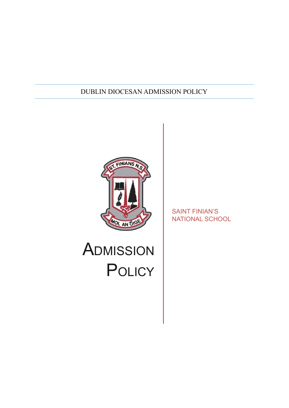# DUBLIN DIOCESAN ADMISSION POLICY



# SAINT FINIAN'S NATIONAL SCHOOL

# **ADMISSION POLICY**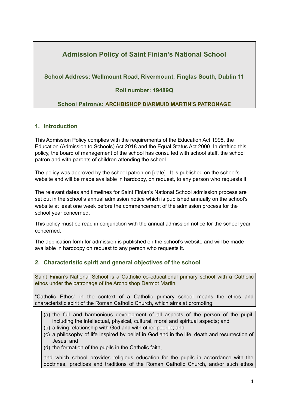# **Admission Policy of Saint Finian's National School**

# **School Address: Wellmount Road, Rivermount, Finglas South, Dublin 11**

# **Roll number: 19489Q**

# **School Patron/s: ARCHBISHOP DIARMUID MARTIN'S PATRONAGE**

#### **1. Introduction**

This Admission Policy complies with the requirements of the Education Act 1998, the Education (Admission to Schools) Act 2018 and the Equal Status Act 2000. In drafting this policy, the board of management of the school has consulted with school staff, the school patron and with parents of children attending the school.

The policy was approved by the school patron on [date]. It is published on the school's website and will be made available in hardcopy, on request, to any person who requests it.

The relevant dates and timelines for Saint Finian's National School admission process are set out in the school's annual admission notice which is published annually on the school's website at least one week before the commencement of the admission process for the school year concerned.

This policy must be read in conjunction with the annual admission notice for the school year concerned.

The application form for admission is published on the school's website and will be made available in hardcopy on request to any person who requests it.

# **2. Characteristic spirit and general objectives of the school**

Saint Finian's National School is a Catholic co-educational primary school with a Catholic ethos under the patronage of the Archbishop Dermot Martin.

"Catholic Ethos" in the context of a Catholic primary school means the ethos and characteristic spirit of the Roman Catholic Church, which aims at promoting:

- (a) the full and harmonious development of all aspects of the person of the pupil, including the intellectual, physical, cultural, moral and spiritual aspects; and
- (b) a living relationship with God and with other people; and
- (c) a philosophy of life inspired by belief in God and in the life, death and resurrection of Jesus; and
- (d) the formation of the pupils in the Catholic faith,

and which school provides religious education for the pupils in accordance with the doctrines, practices and traditions of the Roman Catholic Church, and/or such ethos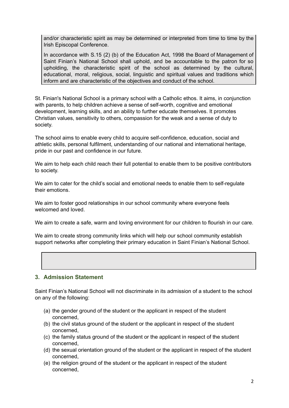and/or characteristic spirit as may be determined or interpreted from time to time by the Irish Episcopal Conference.

In accordance with S.15 (2) (b) of the Education Act, 1998 the Board of Management of Saint Finian's National School shall uphold, and be accountable to the patron for so upholding, the characteristic spirit of the school as determined by the cultural, educational, moral, religious, social, linguistic and spiritual values and traditions which inform and are characteristic of the objectives and conduct of the school.

St. Finian's National School is a primary school with a Catholic ethos. It aims, in conjunction with parents, to help children achieve a sense of self-worth, cognitive and emotional development, learning skills, and an ability to further educate themselves. It promotes Christian values, sensitivity to others, compassion for the weak and a sense of duty to society.

The school aims to enable every child to acquire self-confidence, education, social and athletic skills, personal fulfilment, understanding of our national and international heritage, pride in our past and confidence in our future.

We aim to help each child reach their full potential to enable them to be positive contributors to society.

We aim to cater for the child's social and emotional needs to enable them to self-regulate their emotions.

We aim to foster good relationships in our school community where everyone feels welcomed and loved.

We aim to create a safe, warm and loving environment for our children to flourish in our care.

We aim to create strong community links which will help our school community establish support networks after completing their primary education in Saint Finian's National School.

#### **3. Admission Statement**

Saint Finian's National School will not discriminate in its admission of a student to the school on any of the following:

- (a) the gender ground of the student or the applicant in respect of the student concerned,
- (b) the civil status ground of the student or the applicant in respect of the student concerned,
- (c) the family status ground of the student or the applicant in respect of the student concerned,
- (d) the sexual orientation ground of the student or the applicant in respect of the student concerned,
- (e) the religion ground of the student or the applicant in respect of the student concerned,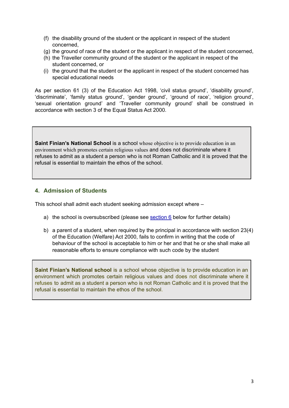- (f) the disability ground of the student or the applicant in respect of the student concerned,
- (g) the ground of race of the student or the applicant in respect of the student concerned,
- (h) the Traveller community ground of the student or the applicant in respect of the student concerned, or
- (i) the ground that the student or the applicant in respect of the student concerned has special educational needs

As per section 61 (3) of the Education Act 1998, 'civil status ground', 'disability ground', 'discriminate', 'family status ground', 'gender ground', 'ground of race', 'religion ground', 'sexual orientation ground' and 'Traveller community ground' shall be construed in accordance with section 3 of the Equal Status Act 2000.

**Saint Finian's National School** is a school whose objective is to provide education in an environment which promotes certain religious values and does not discriminate where it refuses to admit as a student a person who is not Roman Catholic and it is proved that the refusal is essential to maintain the ethos of the school.

#### **4. Admission of Students**

This school shall admit each student seeking admission except where –

- a) the school is oversubscribed (please see [section](#page-4-0) 6 below for further details)
- b) a parent of a student, when required by the principal in accordance with section 23(4) of the Education (Welfare) Act 2000, fails to confirm in writing that the code of behaviour of the school is acceptable to him or her and that he or she shall make all reasonable efforts to ensure compliance with such code by the student

**Saint Finian's National school** is a school whose objective is to provide education in an environment which promotes certain religious values and does not discriminate where it refuses to admit as a student a person who is not Roman Catholic and it is proved that the refusal is essential to maintain the ethos of the school.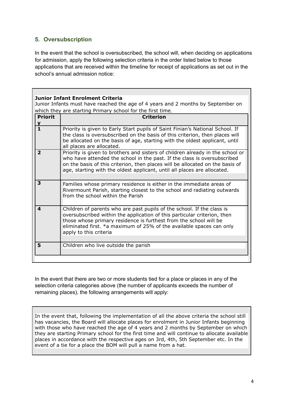# <span id="page-4-0"></span>**5. Oversubscription**

In the event that the school is oversubscribed, the school will, when deciding on applications for admission, apply the following selection criteria in the order listed below to those applications that are received within the timeline for receipt of applications as set out in the school's annual admission notice:

|                   | Junior Infant Enrolment Criteria                                                                                                                                                                                                                                                                                          |
|-------------------|---------------------------------------------------------------------------------------------------------------------------------------------------------------------------------------------------------------------------------------------------------------------------------------------------------------------------|
|                   | Junior Infants must have reached the age of 4 years and 2 months by September on                                                                                                                                                                                                                                          |
|                   | which they are starting Primary school for the first time.                                                                                                                                                                                                                                                                |
| <b>Priorit</b>    | <b>Criterion</b>                                                                                                                                                                                                                                                                                                          |
| y<br>$\mathbf{1}$ | Priority is given to Early Start pupils of Saint Finian's National School. If<br>the class is oversubscribed on the basis of this criterion, then places will<br>be allocated on the basis of age, starting with the oldest applicant, until<br>all places are allocated.                                                 |
| $\overline{2}$    | Priority is given to brothers and sisters of children already in the school or<br>who have attended the school in the past. If the class is oversubscribed<br>on the basis of this criterion, then places will be allocated on the basis of<br>age, starting with the oldest applicant, until all places are allocated.   |
|                   |                                                                                                                                                                                                                                                                                                                           |
| 3                 | Families whose primary residence is either in the immediate areas of<br>Rivermount Parish, starting closest to the school and radiating outwards<br>from the school within the Parish                                                                                                                                     |
| 4                 | Children of parents who are past pupils of the school. If the class is<br>oversubscribed within the application of this particular criterion, then<br>those whose primary residence is furthest from the school will be<br>eliminated first. *a maximum of 25% of the available spaces can only<br>apply to this criteria |
|                   |                                                                                                                                                                                                                                                                                                                           |
| 5                 | Children who live outside the parish                                                                                                                                                                                                                                                                                      |
|                   |                                                                                                                                                                                                                                                                                                                           |
|                   |                                                                                                                                                                                                                                                                                                                           |

In the event that there are two or more students tied for a place or places in any of the selection criteria categories above (the number of applicants exceeds the number of remaining places), the following arrangements will apply:

In the event that, following the implementation of all the above criteria the school still has vacancies, the Board will allocate places for enrolment in Junior Infants beginning with those who have reached the age of 4 years and 2 months by September on which they are starting Primary school for the first time and will continue to allocate available places in accordance with the respective ages on 3rd, 4th, 5th September etc. In the event of a tie for a place the BOM will pull a name from a hat.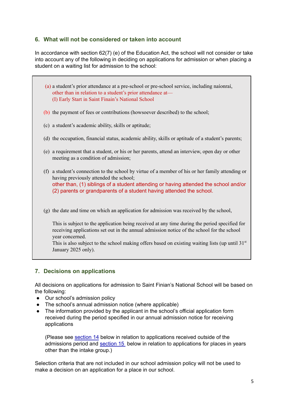#### **6. What will not be considered or taken into account**

In accordance with section 62(7) (e) of the Education Act, the school will not consider or take into account any of the following in deciding on applications for admission or when placing a student on a waiting list for admission to the school:

- (a) a student's prior attendance at a pre-school or pre-school service, including naíonraí, other than in relation to a student's prior attendance at— (I) Early Start in Saint Finain's National School
- (b) the payment of fees or contributions (howsoever described) to the school;
- (c) a student's academic ability, skills or aptitude;
- (d) the occupation, financial status, academic ability, skills or aptitude of a student's parents;
- (e) a requirement that a student, or his or her parents, attend an interview, open day or other meeting as a condition of admission;
- (f) a student's connection to the school by virtue of a member of his or her family attending or having previously attended the school; other than, (1) siblings of a student attending or having attended the school and/or (2) parents or grandparents of a student having attended the school.
- (g) the date and time on which an application for admission was received by the school,

This is subject to the application being received at any time during the period specified for receiving applications set out in the annual admission notice of the school for the school year concerned.

This is also subject to the school making offers based on existing waiting lists (up until  $31<sup>st</sup>$ January 2025 only).

#### **7. Decisions on applications**

All decisions on applications for admission to Saint Finian's National School will be based on the following:

- **●** Our school's admission policy
- **●** The school's annual admission notice (where applicable)
- **●** The information provided by the applicant in the school's official application form received during the period specified in our annual admission notice for receiving applications

(Please see [section](#page-8-0) 14 below in relation to applications received outside of the admissions period and [section](#page-9-0) 15 below in relation to applications for places in years other than the intake group.)

Selection criteria that are not included in our school admission policy will not be used to make a decision on an application for a place in our school.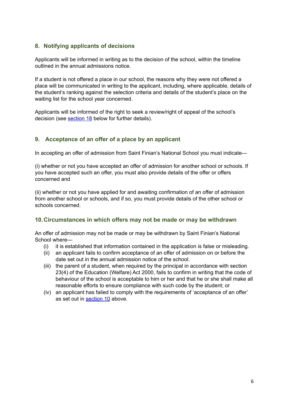# **8. Notifying applicants of decisions**

Applicants will be informed in writing as to the decision of the school, within the timeline outlined in the annual admissions notice.

If a student is not offered a place in our school, the reasons why they were not offered a place will be communicated in writing to the applicant, including, where applicable, details of the student's ranking against the selection criteria and details of the student's place on the waiting list for the school year concerned.

Applicants will be informed of the right to seek a review/right of appeal of the school's decision (see [section](#page-9-1) 18 below for further details).

#### <span id="page-6-0"></span>**9. Acceptance of an offer of a place by an applicant**

In accepting an offer of admission from Saint Finian's National School you must indicate—

(i) whether or not you have accepted an offer of admission for another school or schools. If you have accepted such an offer, you must also provide details of the offer or offers concerned and

(ii) whether or not you have applied for and awaiting confirmation of an offer of admission from another school or schools, and if so, you must provide details of the other school or schools concerned.

#### **10.Circumstances in which offers may not be made or may be withdrawn**

An offer of admission may not be made or may be withdrawn by Saint Finian's National School where—

- (i) it is established that information contained in the application is false or misleading.
- (ii) an applicant fails to confirm acceptance of an offer of admission on or before the date set out in the annual admission notice of the school.
- (iii) the parent of a student, when required by the principal in accordance with section 23(4) of the Education (Welfare) Act 2000, fails to confirm in writing that the code of behaviour of the school is acceptable to him or her and that he or she shall make all reasonable efforts to ensure compliance with such code by the student; or
- (iv) an applicant has failed to comply with the requirements of 'acceptance of an offer' as set out in [section](#page-6-0) 10 above.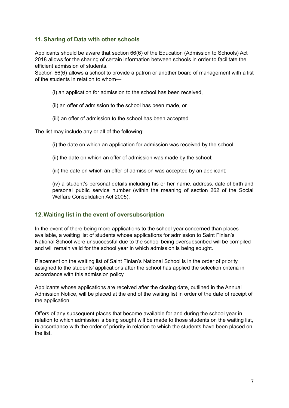# **11.Sharing of Data with other schools**

Applicants should be aware that section 66(6) of the Education (Admission to Schools) Act 2018 allows for the sharing of certain information between schools in order to facilitate the efficient admission of students.

Section 66(6) allows a school to provide a patron or another board of management with a list of the students in relation to whom—

- (i) an application for admission to the school has been received,
- (ii) an offer of admission to the school has been made, or
- (iii) an offer of admission to the school has been accepted.

The list may include any or all of the following:

- (i) the date on which an application for admission was received by the school;
- (ii) the date on which an offer of admission was made by the school;
- (iii) the date on which an offer of admission was accepted by an applicant;

(iv) a student's personal details including his or her name, address, date of birth and personal public service number (within the meaning of section 262 of the Social Welfare Consolidation Act 2005).

#### **12.Waiting list in the event of oversubscription**

In the event of there being more applications to the school year concerned than places available, a waiting list of students whose applications for admission to Saint Finian's National School were unsuccessful due to the school being oversubscribed will be compiled and will remain valid for the school year in which admission is being sought.

Placement on the waiting list of Saint Finian's National School is in the order of priority assigned to the students' applications after the school has applied the selection criteria in accordance with this admission policy.

Applicants whose applications are received after the closing date, outlined in the Annual Admission Notice, will be placed at the end of the waiting list in order of the date of receipt of the application.

Offers of any subsequent places that become available for and during the school year in relation to which admission is being sought will be made to those students on the waiting list, in accordance with the order of priority in relation to which the students have been placed on the list.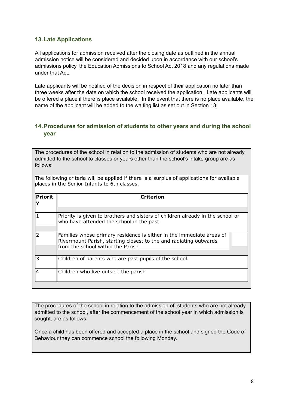#### **13.Late Applications**

All applications for admission received after the closing date as outlined in the annual admission notice will be considered and decided upon in accordance with our school's admissions policy, the Education Admissions to School Act 2018 and any regulations made under that Act.

Late applicants will be notified of the decision in respect of their application no later than three weeks after the date on which the school received the application. Late applicants will be offered a place if there is place available. In the event that there is no place available, the name of the applicant will be added to the waiting list as set out in Section 13.

#### <span id="page-8-0"></span>**14.Procedures for admission of students to other years and during the school year**

The procedures of the school in relation to the admission of students who are not already admitted to the school to classes or years other than the school's intake group are as follows:

The following criteria will be applied if there is a surplus of applications for available places in the Senior Infants to 6th classes.

| lPriorit | <b>Criterion</b>                                                                                                                                                               |
|----------|--------------------------------------------------------------------------------------------------------------------------------------------------------------------------------|
|          | Priority is given to brothers and sisters of children already in the school or<br>who have attended the school in the past.                                                    |
| フ        | Families whose primary residence is either in the immediate areas of<br>Rivermount Parish, starting closest to the and radiating outwards<br>from the school within the Parish |
|          | Children of parents who are past pupils of the school.                                                                                                                         |
|          | Children who live outside the parish                                                                                                                                           |

The procedures of the school in relation to the admission of students who are not already admitted to the school, after the commencement of the school year in which admission is sought, are as follows:

Once a child has been offered and accepted a place in the school and signed the Code of Behaviour they can commence school the following Monday.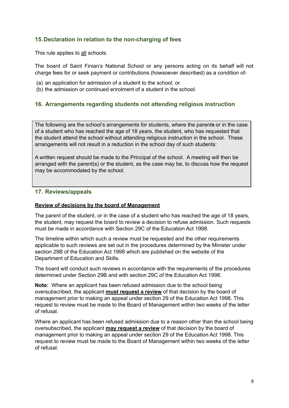# <span id="page-9-0"></span>**15.Declaration in relation to the non-charging of fees**

This rule applies to all schools.

The board of Saint Finian's National School or any persons acting on its behalf will not charge fees for or seek payment or contributions (howsoever described) as a condition of-

- (a) an application for admission of a student to the school, or
- (b) the admission or continued enrolment of a student in the school.

#### **16. Arrangements regarding students not attending religious instruction**

The following are the school's arrangements for students, where the parents or in the case of a student who has reached the age of 18 years, the student, who has requested that the student attend the school without attending religious instruction in the school. These arrangements will not result in a reduction in the school day of such students:

A written request should be made to the Principal of the school. A meeting will then be arranged with the parent(s) or the student, as the case may be, to discuss how the request may be accommodated by the school.

#### <span id="page-9-1"></span>**17. Reviews/appeals**

#### **Review of decisions by the board of Management**

The parent of the student, or in the case of a student who has reached the age of 18 years, the student, may request the board to review a decision to refuse admission. Such requests must be made in accordance with Section 29C of the Education Act 1998.

The timeline within which such a review must be requested and the other requirements applicable to such reviews are set out in the procedures determined by the Minister under section 29B of the Education Act 1998 which are published on the website of the Department of Education and Skills.

The board will conduct such reviews in accordance with the requirements of the procedures determined under Section 29B and with section 29C of the Education Act 1998.

**Note:** Where an applicant has been refused admission due to the school being oversubscribed, the applicant **must request a review** of that decision by the board of management prior to making an appeal under section 29 of the Education Act 1998. This request to review must be made to the Board of Management within two weeks of the letter of refusal.

Where an applicant has been refused admission due to a reason other than the school being oversubscribed, the applicant **may request a review** of that decision by the board of management prior to making an appeal under section 29 of the Education Act 1998. This request to review must be made to the Board of Management within two weeks of the letter of refusal.